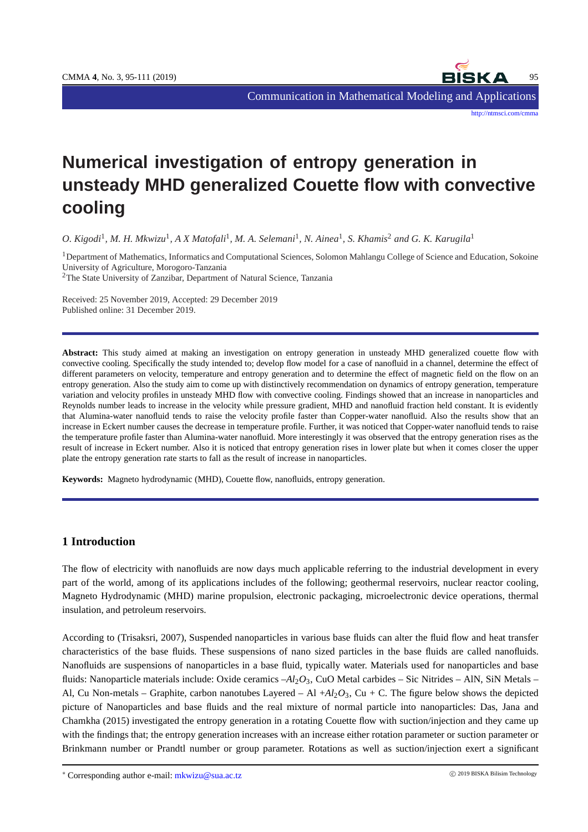

Communication in Mathematical Modeling and Applications

<http://ntmsci.com/cmma>

# **Numerical investigation of entropy generation in unsteady MHD generalized Couette flow with convective cooling**

*O. Kigodi*<sup>1</sup> *, M. H. Mkwizu*<sup>1</sup> *, A X Matofali*<sup>1</sup> *, M. A. Selemani*<sup>1</sup> *, N. Ainea*<sup>1</sup> *, S. Khamis*<sup>2</sup> *and G. K. Karugila*<sup>1</sup>

<sup>1</sup>Department of Mathematics, Informatics and Computational Sciences, Solomon Mahlangu College of Science and Education, Sokoine University of Agriculture, Morogoro-Tanzania

<sup>2</sup>The State University of Zanzibar, Department of Natural Science, Tanzania

Received: 25 November 2019, Accepted: 29 December 2019 Published online: 31 December 2019.

**Abstract:** This study aimed at making an investigation on entropy generation in unsteady MHD generalized couette flow with convective cooling. Specifically the study intended to; develop flow model for a case of nanofluid in a channel, determine the effect of different parameters on velocity, temperature and entropy generation and to determine the effect of magnetic field on the flow on an entropy generation. Also the study aim to come up with distinctively recommendation on dynamics of entropy generation, temperature variation and velocity profiles in unsteady MHD flow with convective cooling. Findings showed that an increase in nanoparticles and Reynolds number leads to increase in the velocity while pressure gradient, MHD and nanofluid fraction held constant. It is evidently that Alumina-water nanofluid tends to raise the velocity profile faster than Copper-water nanofluid. Also the results show that an increase in Eckert number causes the decrease in temperature profile. Further, it was noticed that Copper-water nanofluid tends to raise the temperature profile faster than Alumina-water nanofluid. More interestingly it was observed that the entropy generation rises as the result of increase in Eckert number. Also it is noticed that entropy generation rises in lower plate but when it comes closer the upper plate the entropy generation rate starts to fall as the result of increase in nanoparticles.

**Keywords:** Magneto hydrodynamic (MHD), Couette flow, nanofluids, entropy generation.

#### **1 Introduction**

The flow of electricity with nanofluids are now days much applicable referring to the industrial development in every part of the world, among of its applications includes of the following; geothermal reservoirs, nuclear reactor cooling, Magneto Hydrodynamic (MHD) marine propulsion, electronic packaging, microelectronic device operations, thermal insulation, and petroleum reservoirs.

According to (Trisaksri, 2007), Suspended nanoparticles in various base fluids can alter the fluid flow and heat transfer characteristics of the base fluids. These suspensions of nano sized particles in the base fluids are called nanofluids. Nanofluids are suspensions of nanoparticles in a base fluid, typically water. Materials used for nanoparticles and base fluids: Nanoparticle materials include: Oxide ceramics  $-Al_2O_3$ , CuO Metal carbides – Sic Nitrides – AlN, SiN Metals – Al, Cu Non-metals – Graphite, carbon nanotubes Layered – Al  $+A<sub>2</sub>O<sub>3</sub>$ , Cu + C. The figure below shows the depicted picture of Nanoparticles and base fluids and the real mixture of normal particle into nanoparticles: Das, Jana and Chamkha (2015) investigated the entropy generation in a rotating Couette flow with suction/injection and they came up with the findings that; the entropy generation increases with an increase either rotation parameter or suction parameter or Brinkmann number or Prandtl number or group parameter. Rotations as well as suction/injection exert a significant

\* Corresponding author e-mail: mkwizu@sua.ac.tz © 2019 BISKA Bilisim Technology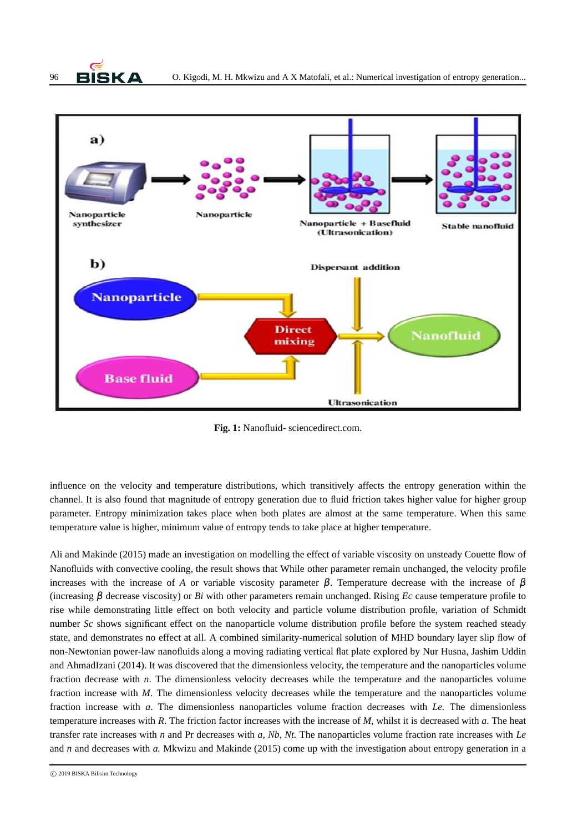



**Fig. 1:** Nanofluid- sciencedirect.com.

influence on the velocity and temperature distributions, which transitively affects the entropy generation within the channel. It is also found that magnitude of entropy generation due to fluid friction takes higher value for higher group parameter. Entropy minimization takes place when both plates are almost at the same temperature. When this same temperature value is higher, minimum value of entropy tends to take place at higher temperature.

Ali and Makinde (2015) made an investigation on modelling the effect of variable viscosity on unsteady Couette flow of Nanofluids with convective cooling, the result shows that While other parameter remain unchanged, the velocity profile increases with the increase of *A* or variable viscosity parameter  $\beta$ . Temperature decrease with the increase of  $\beta$ (increasing β decrease viscosity) or *Bi* with other parameters remain unchanged. Rising *Ec* cause temperature profile to rise while demonstrating little effect on both velocity and particle volume distribution profile, variation of Schmidt number *Sc* shows significant effect on the nanoparticle volume distribution profile before the system reached steady state, and demonstrates no effect at all. A combined similarity-numerical solution of MHD boundary layer slip flow of non-Newtonian power-law nanofluids along a moving radiating vertical flat plate explored by Nur Husna, Jashim Uddin and AhmadIzani (2014). It was discovered that the dimensionless velocity, the temperature and the nanoparticles volume fraction decrease with *n*. The dimensionless velocity decreases while the temperature and the nanoparticles volume fraction increase with *M*. The dimensionless velocity decreases while the temperature and the nanoparticles volume fraction increase with *a*. The dimensionless nanoparticles volume fraction decreases with *Le.* The dimensionless temperature increases with *R*. The friction factor increases with the increase of *M*, whilst it is decreased with *a*. The heat transfer rate increases with *n* and Pr decreases with *a, Nb, Nt.* The nanoparticles volume fraction rate increases with *Le* and *n* and decreases with *a.* Mkwizu and Makinde (2015) come up with the investigation about entropy generation in a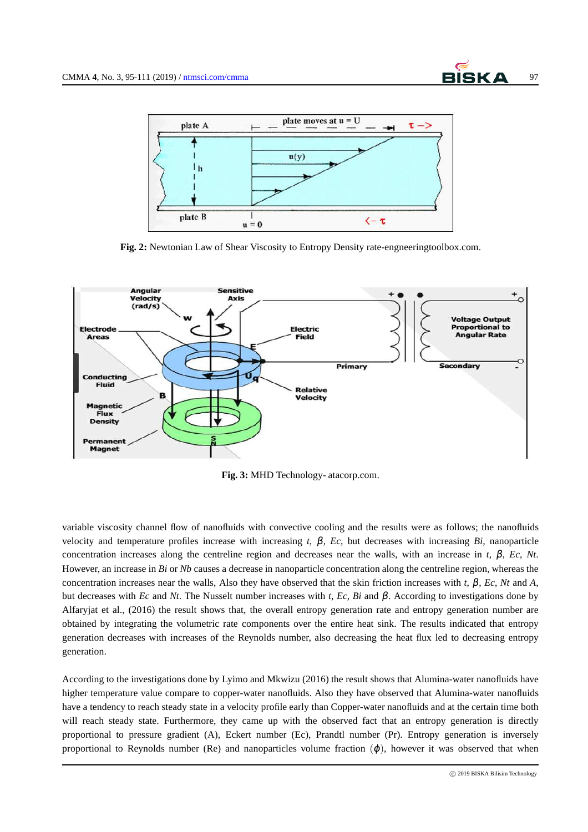

**Fig. 2:** Newtonian Law of Shear Viscosity to Entropy Density rate-engneeringtoolbox.com.



**Fig. 3:** MHD Technology- atacorp.com.

variable viscosity channel flow of nanofluids with convective cooling and the results were as follows; the nanofluids velocity and temperature profiles increase with increasing *t*,  $β$ ,  $Ec$ , but decreases with increasing *Bi*, nanoparticle concentration increases along the centreline region and decreases near the walls, with an increase in  $t$ ,  $\beta$ ,  $Ec$ ,  $Nt$ . However, an increase in *Bi* or *Nb* causes a decrease in nanoparticle concentration along the centreline region, whereas the concentration increases near the walls, Also they have observed that the skin friction increases with *t*, β, *Ec*, *Nt* and *A*, but decreases with *Ec* and *Nt*. The Nusselt number increases with *t*, *Ec*, *Bi* and β. According to investigations done by Alfaryjat et al., (2016) the result shows that, the overall entropy generation rate and entropy generation number are obtained by integrating the volumetric rate components over the entire heat sink. The results indicated that entropy generation decreases with increases of the Reynolds number, also decreasing the heat flux led to decreasing entropy generation.

According to the investigations done by Lyimo and Mkwizu (2016) the result shows that Alumina-water nanofluids have higher temperature value compare to copper-water nanofluids. Also they have observed that Alumina-water nanofluids have a tendency to reach steady state in a velocity profile early than Copper-water nanofluids and at the certain time both will reach steady state. Furthermore, they came up with the observed fact that an entropy generation is directly proportional to pressure gradient (A), Eckert number (Ec), Prandtl number (Pr). Entropy generation is inversely proportional to Reynolds number (Re) and nanoparticles volume fraction  $(\varphi)$ , however it was observed that when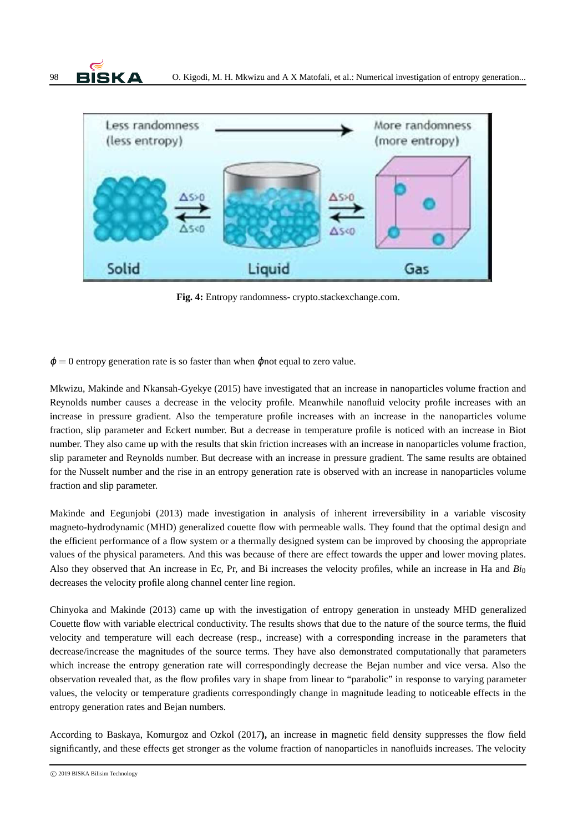



**Fig. 4:** Entropy randomness- crypto.stackexchange.com.

 $\varphi = 0$  entropy generation rate is so faster than when  $\varphi$  and equal to zero value.

Mkwizu, Makinde and Nkansah-Gyekye (2015) have investigated that an increase in nanoparticles volume fraction and Reynolds number causes a decrease in the velocity profile. Meanwhile nanofluid velocity profile increases with an increase in pressure gradient. Also the temperature profile increases with an increase in the nanoparticles volume fraction, slip parameter and Eckert number. But a decrease in temperature profile is noticed with an increase in Biot number. They also came up with the results that skin friction increases with an increase in nanoparticles volume fraction, slip parameter and Reynolds number. But decrease with an increase in pressure gradient. The same results are obtained for the Nusselt number and the rise in an entropy generation rate is observed with an increase in nanoparticles volume fraction and slip parameter.

Makinde and Eegunjobi (2013) made investigation in analysis of inherent irreversibility in a variable viscosity magneto-hydrodynamic (MHD) generalized couette flow with permeable walls. They found that the optimal design and the efficient performance of a flow system or a thermally designed system can be improved by choosing the appropriate values of the physical parameters. And this was because of there are effect towards the upper and lower moving plates. Also they observed that An increase in Ec, Pr, and Bi increases the velocity profiles, while an increase in Ha and *Bi*<sup>0</sup> decreases the velocity profile along channel center line region.

Chinyoka and Makinde (2013) came up with the investigation of entropy generation in unsteady MHD generalized Couette flow with variable electrical conductivity. The results shows that due to the nature of the source terms, the fluid velocity and temperature will each decrease (resp., increase) with a corresponding increase in the parameters that decrease/increase the magnitudes of the source terms. They have also demonstrated computationally that parameters which increase the entropy generation rate will correspondingly decrease the Bejan number and vice versa. Also the observation revealed that, as the flow profiles vary in shape from linear to "parabolic" in response to varying parameter values, the velocity or temperature gradients correspondingly change in magnitude leading to noticeable effects in the entropy generation rates and Bejan numbers.

According to Baskaya, Komurgoz and Ozkol (2017**),** an increase in magnetic field density suppresses the flow field significantly, and these effects get stronger as the volume fraction of nanoparticles in nanofluids increases. The velocity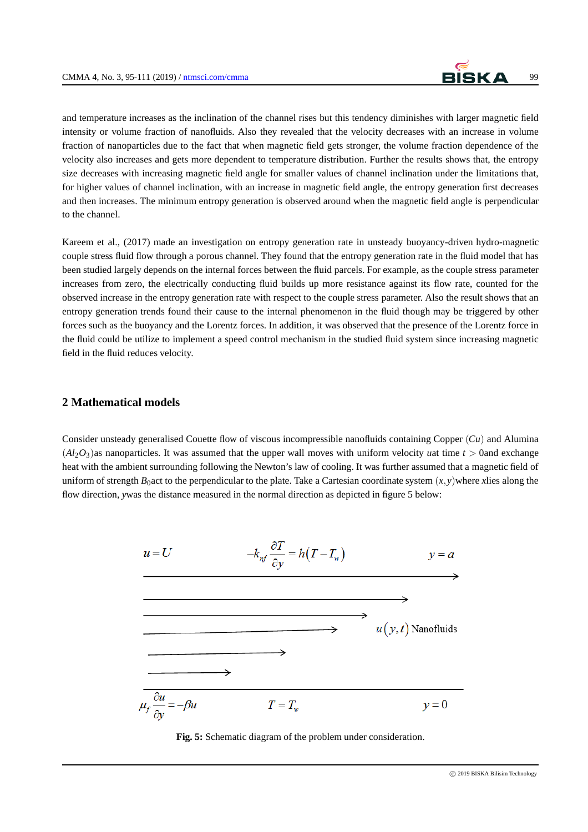

and temperature increases as the inclination of the channel rises but this tendency diminishes with larger magnetic field intensity or volume fraction of nanofluids. Also they revealed that the velocity decreases with an increase in volume fraction of nanoparticles due to the fact that when magnetic field gets stronger, the volume fraction dependence of the velocity also increases and gets more dependent to temperature distribution. Further the results shows that, the entropy size decreases with increasing magnetic field angle for smaller values of channel inclination under the limitations that, for higher values of channel inclination, with an increase in magnetic field angle, the entropy generation first decreases and then increases. The minimum entropy generation is observed around when the magnetic field angle is perpendicular to the channel.

Kareem et al., (2017) made an investigation on entropy generation rate in unsteady buoyancy-driven hydro-magnetic couple stress fluid flow through a porous channel. They found that the entropy generation rate in the fluid model that has been studied largely depends on the internal forces between the fluid parcels. For example, as the couple stress parameter increases from zero, the electrically conducting fluid builds up more resistance against its flow rate, counted for the observed increase in the entropy generation rate with respect to the couple stress parameter. Also the result shows that an entropy generation trends found their cause to the internal phenomenon in the fluid though may be triggered by other forces such as the buoyancy and the Lorentz forces. In addition, it was observed that the presence of the Lorentz force in the fluid could be utilize to implement a speed control mechanism in the studied fluid system since increasing magnetic field in the fluid reduces velocity.

### **2 Mathematical models**

Consider unsteady generalised Couette flow of viscous incompressible nanofluids containing Copper (*Cu*) and Alumina  $(A_1, O_3)$  as nanoparticles. It was assumed that the upper wall moves with uniform velocity *u*at time  $t > 0$  and exchange heat with the ambient surrounding following the Newton's law of cooling. It was further assumed that a magnetic field of uniform of strength  $B_0$  act to the perpendicular to the plate. Take a Cartesian coordinate system  $(x, y)$ where *x*lies along the flow direction, *y*was the distance measured in the normal direction as depicted in figure 5 below:



**Fig. 5:** Schematic diagram of the problem under consideration.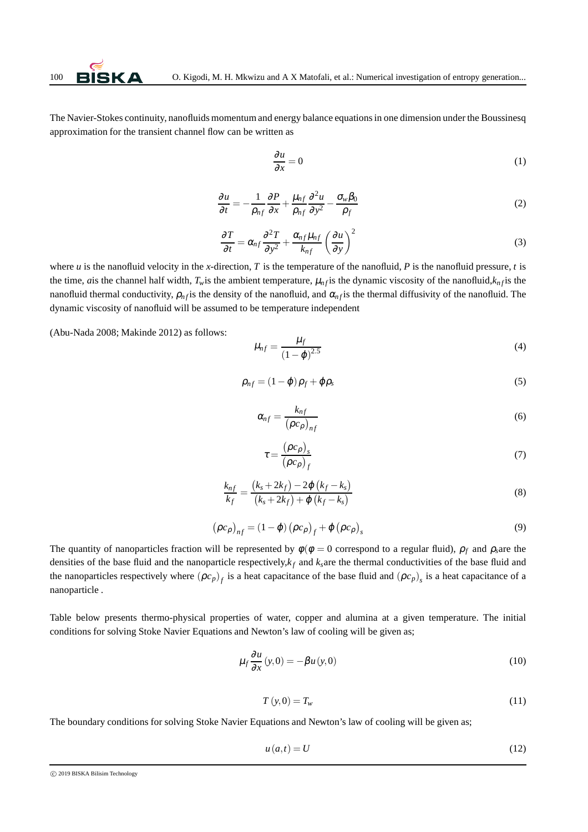The Navier-Stokes continuity, nanofluids momentum and energy balance equations in one dimension under the Boussinesq approximation for the transient channel flow can be written as

<span id="page-5-0"></span>
$$
\frac{\partial u}{\partial x} = 0\tag{1}
$$

$$
\frac{\partial u}{\partial t} = -\frac{1}{\rho_{nf}} \frac{\partial P}{\partial x} + \frac{\mu_{nf}}{\rho_{nf}} \frac{\partial^2 u}{\partial y^2} - \frac{\sigma_w \beta_0}{\rho_f}
$$
(2)

$$
\frac{\partial T}{\partial t} = \alpha_{nf} \frac{\partial^2 T}{\partial y^2} + \frac{\alpha_{nf} \mu_{nf}}{k_{nf}} \left(\frac{\partial u}{\partial y}\right)^2
$$
(3)

where  $u$  is the nanofluid velocity in the *x*-direction,  $T$  is the temperature of the nanofluid,  $P$  is the nanofluid pressure,  $t$  is the time, *a* is the channel half width,  $T_w$  is the ambient temperature,  $\mu_n f$  is the dynamic viscosity of the nanofluid, $k_n f$  is the nanofluid thermal conductivity,  $\rho_{n}$  *f* is the density of the nanofluid, and  $\alpha_{n}$ *f* is the thermal diffusivity of the nanofluid. The dynamic viscosity of nanofluid will be assumed to be temperature independent

(Abu-Nada 2008; Makinde 2012) as follows:

$$
\mu_{nf} = \frac{\mu_f}{(1 - \varphi)^{2.5}}
$$
\n(4)

$$
\rho_{nf} = (1 - \varphi)\rho_f + \varphi\rho_s \tag{5}
$$

$$
\alpha_{nf} = \frac{k_{nf}}{\left(\rho c_{\rho}\right)_{nf}}\tag{6}
$$

$$
\tau = \frac{\left(\rho c_{\rho}\right)_s}{\left(\rho c_{\rho}\right)_f} \tag{7}
$$

$$
\frac{k_{nf}}{k_f} = \frac{(k_s + 2k_f) - 2\varphi (k_f - k_s)}{(k_s + 2k_f) + \varphi (k_f - k_s)}
$$
\n(8)

$$
(\rho c_{\rho})_{nf} = (1 - \varphi) (\rho c_{\rho})_f + \varphi (\rho c_{\rho})_s
$$
\n(9)

The quantity of nanoparticles fraction will be represented by  $\phi(\phi = 0$  correspond to a regular fluid),  $\rho_f$  and  $\rho_s$ are the densities of the base fluid and the nanoparticle respectively,*k<sup>f</sup>* and *ks*are the thermal conductivities of the base fluid and the nanoparticles respectively where  $(\rho c_p)_f$  is a heat capacitance of the base fluid and  $(\rho c_p)_s$  is a heat capacitance of a nanoparticle .

Table below presents thermo-physical properties of water, copper and alumina at a given temperature. The initial conditions for solving Stoke Navier Equations and Newton's law of cooling will be given as;

$$
\mu_f \frac{\partial u}{\partial x}(y,0) = -\beta u(y,0) \tag{10}
$$

$$
T(y,0) = T_w \tag{11}
$$

The boundary conditions for solving Stoke Navier Equations and Newton's law of cooling will be given as;

$$
u(a,t) = U \tag{12}
$$

c 2019 BISKA Bilisim Technology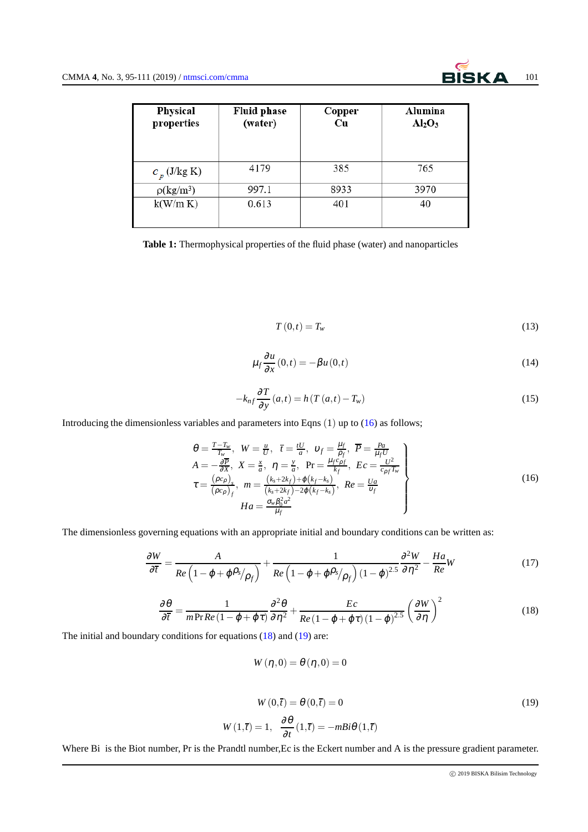| <b>Physical</b><br>properties | <b>Fluid phase</b><br>(water) | Copper<br>Cu | Alumina<br>$Al_2O_3$ |
|-------------------------------|-------------------------------|--------------|----------------------|
| $c_p$ (J/kg K)                | 4179                          | 385          | 765                  |
| $\rho(\text{kg/m}^3)$         | 997.1                         | 8933         | 3970                 |
| k(W/m K)                      | 0.613                         | 401          | 40                   |

**Table 1:** Thermophysical properties of the fluid phase (water) and nanoparticles

<span id="page-6-0"></span>
$$
T(0,t) = T_w \tag{13}
$$

$$
\mu_f \frac{\partial u}{\partial x}(0,t) = -\beta u(0,t) \tag{14}
$$

$$
-k_{nf} \frac{\partial T}{\partial y}(a,t) = h(T(a,t) - T_w)
$$
\n(15)

Introducing the dimensionless variables and parameters into Eqns (1) up to [\(16\)](#page-6-0) as follows;

$$
\theta = \frac{T - T_w}{T_w}, \quad W = \frac{u}{U}, \quad \overline{t} = \frac{tU}{a}, \quad \upsilon_f = \frac{\mu_f}{\rho_f}, \quad \overline{P} = \frac{Pa}{\mu_f U}
$$
\n
$$
A = -\frac{\partial \overline{P}}{\partial X}, \quad X = \frac{x}{a}, \quad \eta = \frac{y}{a}, \quad \text{Pr} = \frac{\mu_f c_{\rho f}}{k_f}, \quad Ec = \frac{U^2}{c_{\rho f} T_w}
$$
\n
$$
\tau = \frac{(\rho c_\rho)_s}{(\rho c_\rho)_f}, \quad m = \frac{(k_s + 2k_f) + \varphi(k_f - k_s)}{(k_s + 2k_f) - 2\varphi(k_f - k_s)}, \quad Re = \frac{Ua}{v_f}
$$
\n
$$
Ha = \frac{\sigma_w \beta_0^2 a^2}{\mu_f}
$$
\n(16)

The dimensionless governing equations with an appropriate initial and boundary conditions can be written as:

$$
\frac{\partial W}{\partial \overline{t}} = \frac{A}{Re\left(1 - \varphi + \varphi \rho_s/\rho_f\right)} + \frac{1}{Re\left(1 - \varphi + \varphi \rho_s/\rho_f\right)(1 - \varphi)^{2.5}} \frac{\partial^2 W}{\partial \eta^2} - \frac{Ha}{Re}W\tag{17}
$$

$$
\frac{\partial \theta}{\partial \overline{t}} = \frac{1}{m \Pr Re \left( 1 - \varphi + \varphi \tau \right)} \frac{\partial^2 \theta}{\partial \eta^2} + \frac{Ec}{Re \left( 1 - \varphi + \varphi \tau \right) \left( 1 - \varphi \right)^{2.5}} \left( \frac{\partial W}{\partial \eta} \right)^2 \tag{18}
$$

<span id="page-6-2"></span><span id="page-6-1"></span>The initial and boundary conditions for equations [\(18\)](#page-6-1) and [\(19\)](#page-6-2) are:

 $W(\eta,0) = \theta(\eta,0) = 0$ 

$$
W(0,\overline{t}) = \theta(0,\overline{t}) = 0
$$
\n
$$
W(1,\overline{t}) = 1, \quad \frac{\partial \theta}{\partial t}(1,\overline{t}) = -mBi\theta(1,\overline{t})
$$
\n(19)

Where Bi is the Biot number, Pr is the Prandtl number, Ec is the Eckert number and A is the pressure gradient parameter.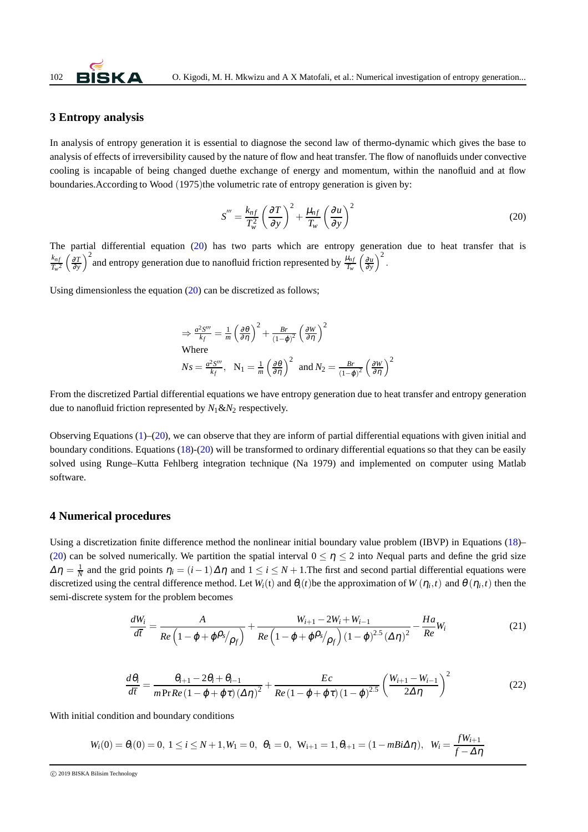

## **3 Entropy analysis**

In analysis of entropy generation it is essential to diagnose the second law of thermo-dynamic which gives the base to analysis of effects of irreversibility caused by the nature of flow and heat transfer. The flow of nanofluids under convective cooling is incapable of being changed duethe exchange of energy and momentum, within the nanofluid and at flow boundaries. According to Wood (1975)the volumetric rate of entropy generation is given by:

<span id="page-7-0"></span>
$$
S''' = \frac{k_{nf}}{T_w^2} \left(\frac{\partial T}{\partial y}\right)^2 + \frac{\mu_{nf}}{T_w} \left(\frac{\partial u}{\partial y}\right)^2
$$
(20)

The partial differential equation [\(20\)](#page-7-0) has two parts which are entropy generation due to heat transfer that is *kn f*  $\frac{k_{nf}}{T_w^2} \left(\frac{\partial T}{\partial y}\right)^2$  and entropy generation due to nanofluid friction represented by  $\frac{\mu_{nf}}{T_w} \left(\frac{\partial u}{\partial y}\right)^2$ .

Using dimensionless the equation [\(20\)](#page-7-0) can be discretized as follows;

$$
\Rightarrow \frac{a^2 S'''}{k_f} = \frac{1}{m} \left(\frac{\partial \theta}{\partial \eta}\right)^2 + \frac{Br}{(1-\varphi)^2} \left(\frac{\partial W}{\partial \eta}\right)^2
$$
  
Where  

$$
Ns = \frac{a^2 S'''}{k_f}, \quad N_1 = \frac{1}{m} \left(\frac{\partial \theta}{\partial \eta}\right)^2 \text{ and } N_2 = \frac{Br}{(1-\varphi)^2} \left(\frac{\partial W}{\partial \eta}\right)^2
$$

From the discretized Partial differential equations we have entropy generation due to heat transfer and entropy generation due to nanofluid friction represented by  $N_1 \& N_2$  respectively.

Observing Equations  $(1)$ –[\(20\)](#page-7-0), we can observe that they are inform of partial differential equations with given initial and boundary conditions. Equations [\(18\)](#page-6-1)-[\(20\)](#page-7-0) will be transformed to ordinary differential equations so that they can be easily solved using Runge–Kutta Fehlberg integration technique (Na 1979) and implemented on computer using Matlab software.

### **4 Numerical procedures**

Using a discretization finite difference method the nonlinear initial boundary value problem (IBVP) in Equations [\(18\)](#page-6-1)– [\(20\)](#page-7-0) can be solved numerically. We partition the spatial interval  $0 \le \eta \le 2$  into *Nequal parts and define the grid size*  $\Delta \eta = \frac{1}{N}$  and the grid points  $\eta_i = (i-1)\Delta \eta$  and  $1 \le i \le N+1$ . The first and second partial differential equations were discretized using the central difference method. Let  $W_i(t)$  and  $\theta_i(t)$  be the approximation of  $W(\eta_i, t)$  and  $\theta(\eta_i, t)$  then the semi-discrete system for the problem becomes

$$
\frac{dW_i}{d\overline{t}} = \frac{A}{Re\left(1 - \varphi + \varphi \rho_s/\rho_f\right)} + \frac{W_{i+1} - 2W_i + W_{i-1}}{Re\left(1 - \varphi + \varphi \rho_s/\rho_f\right) (1 - \varphi)^{2.5} (\Delta \eta)^2} - \frac{Ha}{Re}W_i
$$
(21)

$$
\frac{d\theta_i}{d\overline{t}} = \frac{\theta_{i+1} - 2\theta_i + \theta_{i-1}}{m\Pr Re\left(1 - \varphi + \varphi\tau\right)\left(\Delta\eta\right)^2} + \frac{Ec}{Re\left(1 - \varphi + \varphi\tau\right)\left(1 - \varphi\right)^{2.5}} \left(\frac{W_{i+1} - W_{i-1}}{2\Delta\eta}\right)^2 \tag{22}
$$

With initial condition and boundary conditions

$$
W_i(0) = \theta_i(0) = 0, \ 1 \leq i \leq N+1, W_1 = 0, \ \theta_1 = 0, \ W_{i+1} = 1, \theta_{i+1} = (1 - mBi\Delta\eta), \ W_i = \frac{fW_{i+1}}{f - \Delta\eta}
$$

c 2019 BISKA Bilisim Technology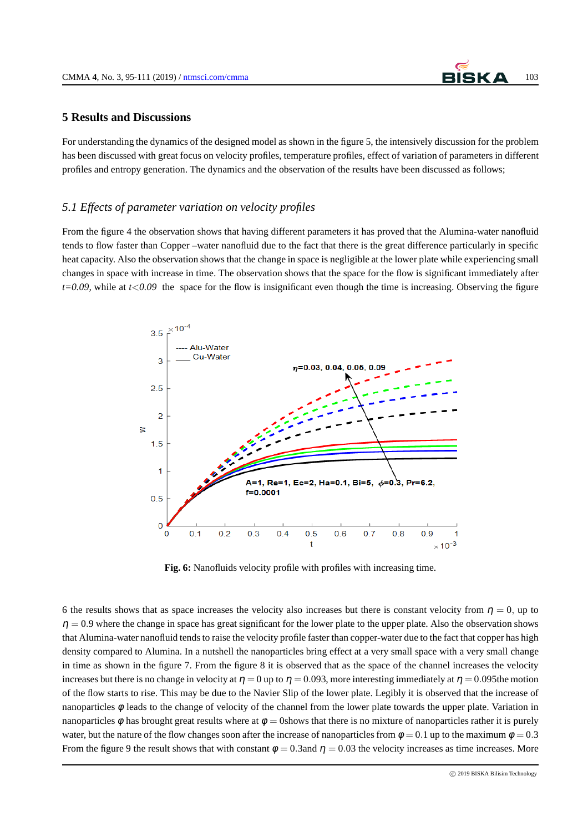

#### **5 Results and Discussions**

For understanding the dynamics of the designed model as shown in the figure 5, the intensively discussion for the problem has been discussed with great focus on velocity profiles, temperature profiles, effect of variation of parameters in different profiles and entropy generation. The dynamics and the observation of the results have been discussed as follows;

#### *5.1 Effects of parameter variation on velocity profiles*

From the figure 4 the observation shows that having different parameters it has proved that the Alumina-water nanofluid tends to flow faster than Copper –water nanofluid due to the fact that there is the great difference particularly in specific heat capacity. Also the observation shows that the change in space is negligible at the lower plate while experiencing small changes in space with increase in time. The observation shows that the space for the flow is significant immediately after *t=0.09,* while at *t*<*0.09* the space for the flow is insignificant even though the time is increasing. Observing the figure



**Fig. 6:** Nanofluids velocity profile with profiles with increasing time.

6 the results shows that as space increases the velocity also increases but there is constant velocity from  $\eta = 0$ , up to  $\eta = 0.9$  where the change in space has great significant for the lower plate to the upper plate. Also the observation shows that Alumina-water nanofluid tends to raise the velocity profile faster than copper-water due to the fact that copper has high density compared to Alumina. In a nutshell the nanoparticles bring effect at a very small space with a very small change in time as shown in the figure 7. From the figure 8 it is observed that as the space of the channel increases the velocity increases but there is no change in velocity at  $\eta = 0$  up to  $\eta = 0.093$ , more interesting immediately at  $\eta = 0.095$  the motion of the flow starts to rise. This may be due to the Navier Slip of the lower plate. Legibly it is observed that the increase of nanoparticles φ leads to the change of velocity of the channel from the lower plate towards the upper plate. Variation in nanoparticles φ has brought great results where at  $\phi = 0$ shows that there is no mixture of nanoparticles rather it is purely water, but the nature of the flow changes soon after the increase of nanoparticles from  $\phi = 0.1$  up to the maximum  $\phi = 0.3$ From the figure 9 the result shows that with constant  $\phi = 0.3$  and  $\eta = 0.03$  the velocity increases as time increases. More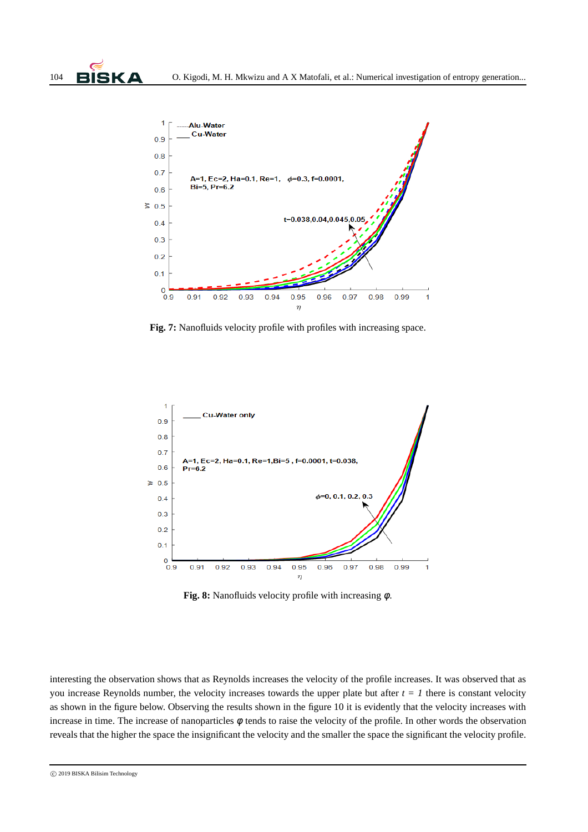

**Fig. 7:** Nanofluids velocity profile with profiles with increasing space.



**Fig. 8:** Nanofluids velocity profile with increasing φ.

interesting the observation shows that as Reynolds increases the velocity of the profile increases. It was observed that as you increase Reynolds number, the velocity increases towards the upper plate but after  $t = 1$  there is constant velocity as shown in the figure below. Observing the results shown in the figure 10 it is evidently that the velocity increases with increase in time. The increase of nanoparticles  $\phi$  tends to raise the velocity of the profile. In other words the observation reveals that the higher the space the insignificant the velocity and the smaller the space the significant the velocity profile.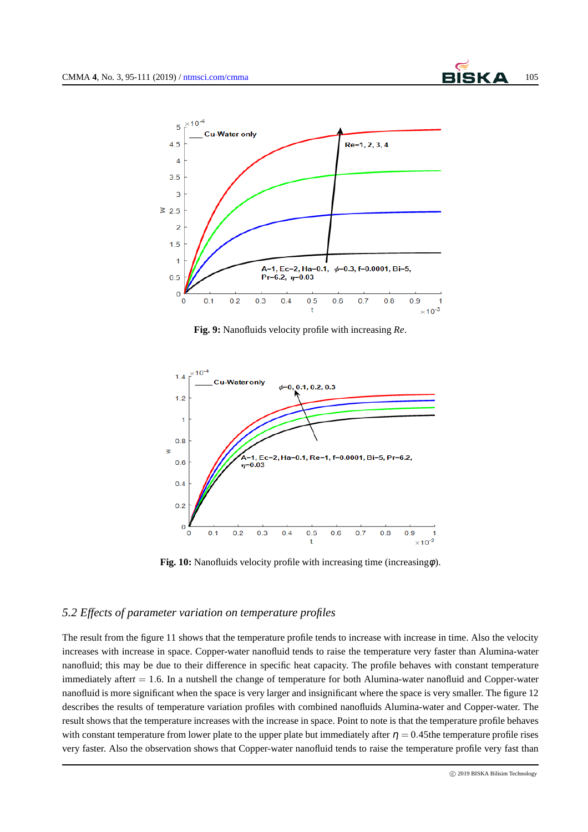

**Fig. 9:** Nanofluids velocity profile with increasing *Re*.



**Fig. 10:** Nanofluids velocity profile with increasing time (increasing $\phi$ ).

### *5.2 Effects of parameter variation on temperature profiles*

The result from the figure 11 shows that the temperature profile tends to increase with increase in time. Also the velocity increases with increase in space. Copper-water nanofluid tends to raise the temperature very faster than Alumina-water nanofluid; this may be due to their difference in specific heat capacity. The profile behaves with constant temperature immediately after*t* = 1.6. In a nutshell the change of temperature for both Alumina-water nanofluid and Copper-water nanofluid is more significant when the space is very larger and insignificant where the space is very smaller. The figure 12 describes the results of temperature variation profiles with combined nanofluids Alumina-water and Copper-water. The result shows that the temperature increases with the increase in space. Point to note is that the temperature profile behaves with constant temperature from lower plate to the upper plate but immediately after  $\eta = 0.45$  the temperature profile rises very faster. Also the observation shows that Copper-water nanofluid tends to raise the temperature profile very fast than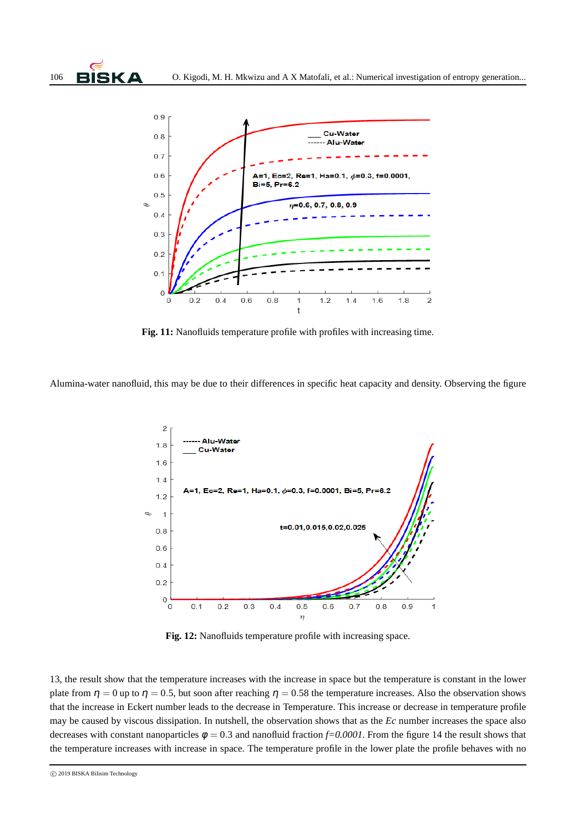



**Fig. 11:** Nanofluids temperature profile with profiles with increasing time.

Alumina-water nanofluid, this may be due to their differences in specific heat capacity and density. Observing the figure



**Fig. 12:** Nanofluids temperature profile with increasing space.

13, the result show that the temperature increases with the increase in space but the temperature is constant in the lower plate from  $\eta = 0$  up to  $\eta = 0.5$ , but soon after reaching  $\eta = 0.58$  the temperature increases. Also the observation shows that the increase in Eckert number leads to the decrease in Temperature. This increase or decrease in temperature profile may be caused by viscous dissipation. In nutshell, the observation shows that as the *Ec* number increases the space also decreases with constant nanoparticles  $\phi = 0.3$  and nanofluid fraction  $f=0.0001$ . From the figure 14 the result shows that the temperature increases with increase in space. The temperature profile in the lower plate the profile behaves with no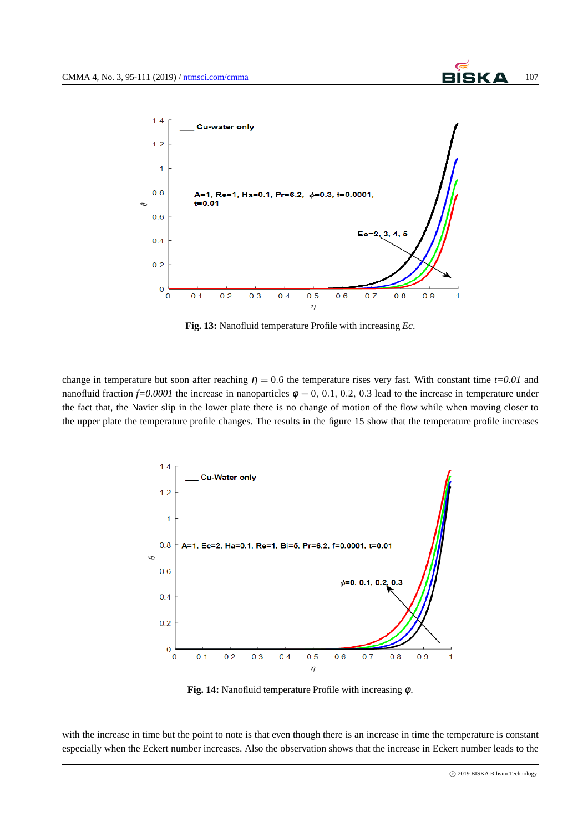

**Fig. 13:** Nanofluid temperature Profile with increasing *Ec*.

change in temperature but soon after reaching  $\eta = 0.6$  the temperature rises very fast. With constant time  $t=0.01$  and nanofluid fraction  $f=0.0001$  the increase in nanoparticles  $\phi = 0, 0.1, 0.2, 0.3$  lead to the increase in temperature under the fact that, the Navier slip in the lower plate there is no change of motion of the flow while when moving closer to the upper plate the temperature profile changes. The results in the figure 15 show that the temperature profile increases



**Fig. 14:** Nanofluid temperature Profile with increasing φ.

with the increase in time but the point to note is that even though there is an increase in time the temperature is constant especially when the Eckert number increases. Also the observation shows that the increase in Eckert number leads to the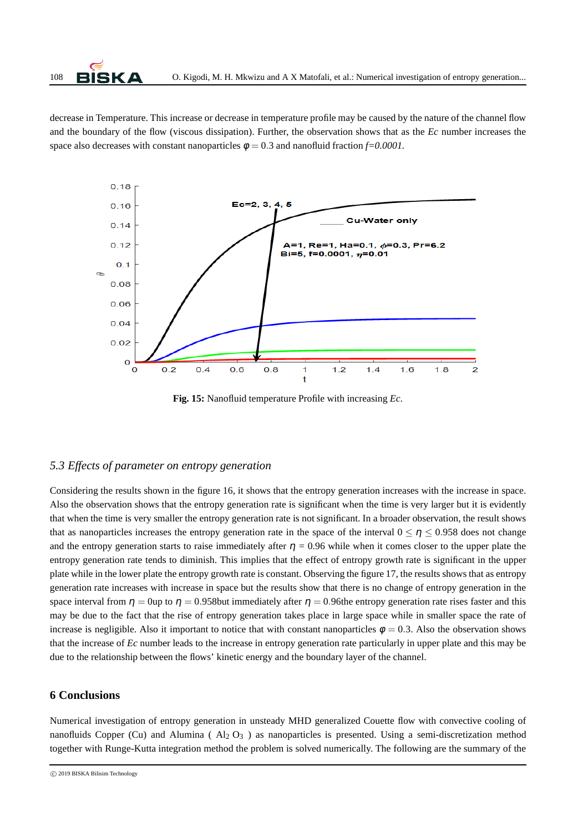decrease in Temperature. This increase or decrease in temperature profile may be caused by the nature of the channel flow and the boundary of the flow (viscous dissipation). Further, the observation shows that as the *Ec* number increases the space also decreases with constant nanoparticles  $\phi = 0.3$  and nanofluid fraction  $f=0.0001$ .



**Fig. 15:** Nanofluid temperature Profile with increasing *Ec*.

#### *5.3 Effects of parameter on entropy generation*

Considering the results shown in the figure 16, it shows that the entropy generation increases with the increase in space. Also the observation shows that the entropy generation rate is significant when the time is very larger but it is evidently that when the time is very smaller the entropy generation rate is not significant. In a broader observation, the result shows that as nanoparticles increases the entropy generation rate in the space of the interval  $0 \le \eta \le 0.958$  does not change and the entropy generation starts to raise immediately after  $\eta = 0.96$  while when it comes closer to the upper plate the entropy generation rate tends to diminish. This implies that the effect of entropy growth rate is significant in the upper plate while in the lower plate the entropy growth rate is constant. Observing the figure 17, the results shows that as entropy generation rate increases with increase in space but the results show that there is no change of entropy generation in the space interval from  $\eta = 0$ up to  $\eta = 0.958$ but immediately after  $\eta = 0.96$ the entropy generation rate rises faster and this may be due to the fact that the rise of entropy generation takes place in large space while in smaller space the rate of increase is negligible. Also it important to notice that with constant nanoparticles  $\phi = 0.3$ . Also the observation shows that the increase of *Ec* number leads to the increase in entropy generation rate particularly in upper plate and this may be due to the relationship between the flows' kinetic energy and the boundary layer of the channel.

#### **6 Conclusions**

Numerical investigation of entropy generation in unsteady MHD generalized Couette flow with convective cooling of nanofluids Copper (Cu) and Alumina ( $Al_2 O_3$ ) as nanoparticles is presented. Using a semi-discretization method together with Runge-Kutta integration method the problem is solved numerically. The following are the summary of the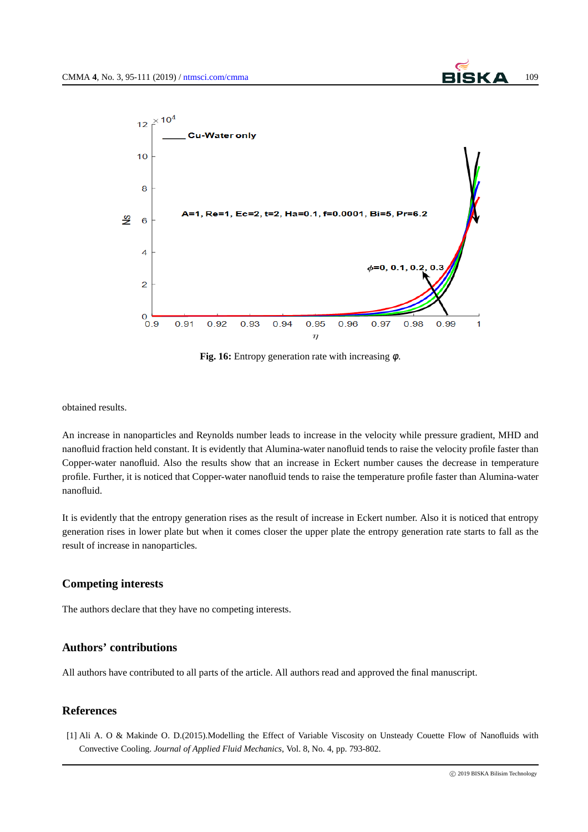

**Fig. 16:** Entropy generation rate with increasing φ.

obtained results.

An increase in nanoparticles and Reynolds number leads to increase in the velocity while pressure gradient, MHD and nanofluid fraction held constant. It is evidently that Alumina-water nanofluid tends to raise the velocity profile faster than Copper-water nanofluid. Also the results show that an increase in Eckert number causes the decrease in temperature profile. Further, it is noticed that Copper-water nanofluid tends to raise the temperature profile faster than Alumina-water nanofluid.

It is evidently that the entropy generation rises as the result of increase in Eckert number. Also it is noticed that entropy generation rises in lower plate but when it comes closer the upper plate the entropy generation rate starts to fall as the result of increase in nanoparticles.

# **Competing interests**

The authors declare that they have no competing interests.

# **Authors' contributions**

All authors have contributed to all parts of the article. All authors read and approved the final manuscript.

# **References**

[1] Ali A. O & Makinde O. D.(2015).Modelling the Effect of Variable Viscosity on Unsteady Couette Flow of Nanofluids with Convective Cooling. *Journal of Applied Fluid Mechanics*, Vol. 8, No. 4, pp. 793-802.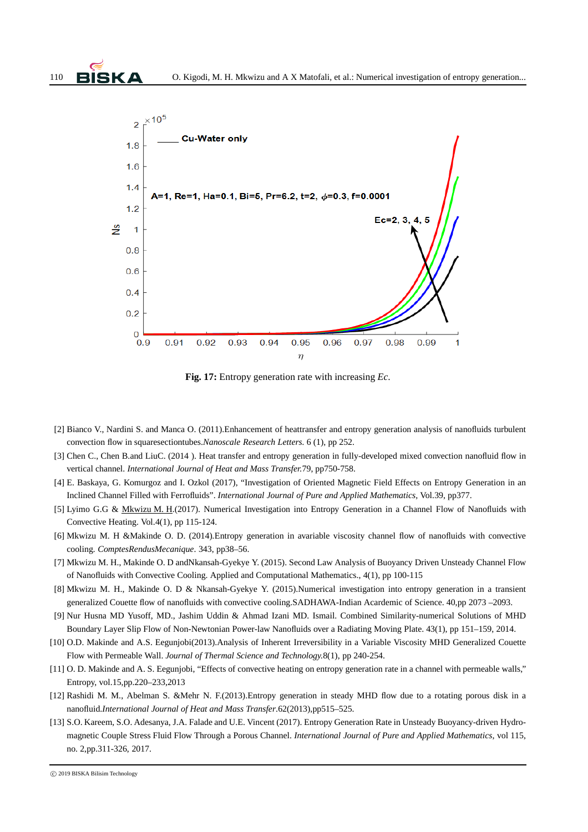

**Fig. 17:** Entropy generation rate with increasing *Ec*.

- [2] Bianco V., Nardini S. and Manca O. (2011).Enhancement of heattransfer and entropy generation analysis of nanofluids turbulent convection flow in squaresectiontubes.*Nanoscale Research Letters.* 6 (1), pp 252.
- [3] Chen C., Chen B.and LiuC. (2014). Heat transfer and entropy generation in fully-developed mixed convection nanofluid flow in vertical channel. *International Journal of Heat and Mass Transfer.*79, pp750-758.
- [4] E. Baskaya, G. Komurgoz and I. Ozkol (2017), "Investigation of Oriented Magnetic Field Effects on Entropy Generation in an Inclined Channel Filled with Ferrofluids". *International Journal of Pure and Applied Mathematics,* Vol.39, pp377.
- [5] Lyimo G.G & Mkwizu M. H.(2017). Numerical Investigation into Entropy Generation in a Channel Flow of Nanofluids with Convective Heating. Vol.4(1), pp 115-124.
- [6] Mkwizu M. H &Makinde O. D. (2014)*.*Entropy generation in avariable viscosity channel flow of nanofluids with convective cooling*. ComptesRendusMecanique*. 343, pp38–56.
- [7] Mkwizu M. H., Makinde O. D andNkansah-Gyekye Y. (2015). Second Law Analysis of Buoyancy Driven Unsteady Channel Flow of Nanofluids with Convective Cooling. Applied and Computational Mathematics., 4(1), pp 100-115
- [8] Mkwizu M. H., Makinde O. D & Nkansah-Gyekye Y. (2015).Numerical investigation into entropy generation in a transient generalized Couette flow of nanofluids with convective cooling.SADHAWA-Indian Acardemic of Science. 40,pp 2073 –2093.
- [9] Nur Husna MD Yusoff, MD., Jashim Uddin & Ahmad Izani MD. Ismail. Combined Similarity-numerical Solutions of MHD Boundary Layer Slip Flow of Non-Newtonian Power-law Nanofluids over a Radiating Moving Plate. 43(1), pp 151–159, 2014.
- [10] O.D. Makinde and A.S. Eegunjobi(2013).Analysis of Inherent Irreversibility in a Variable Viscosity MHD Generalized Couette Flow with Permeable Wall. *Journal of Thermal Science and Technology.*8(1), pp 240-254.
- [11] O. D. Makinde and A. S. Eegunjobi, "Effects of convective heating on entropy generation rate in a channel with permeable walls," Entropy, vol.15,pp.220–233,2013
- [12] Rashidi M. M., Abelman S. &Mehr N. F.(2013).Entropy generation in steady MHD flow due to a rotating porous disk in a nanofluid.*International Journal of Heat and Mass Transfer*.62(2013),pp515–525.
- [13] S.O. Kareem, S.O. Adesanya, J.A. Falade and U.E. Vincent (2017). Entropy Generation Rate in Unsteady Buoyancy-driven Hydromagnetic Couple Stress Fluid Flow Through a Porous Channel. *International Journal of Pure and Applied Mathematics,* vol 115, no. 2,pp.311-326, 2017.